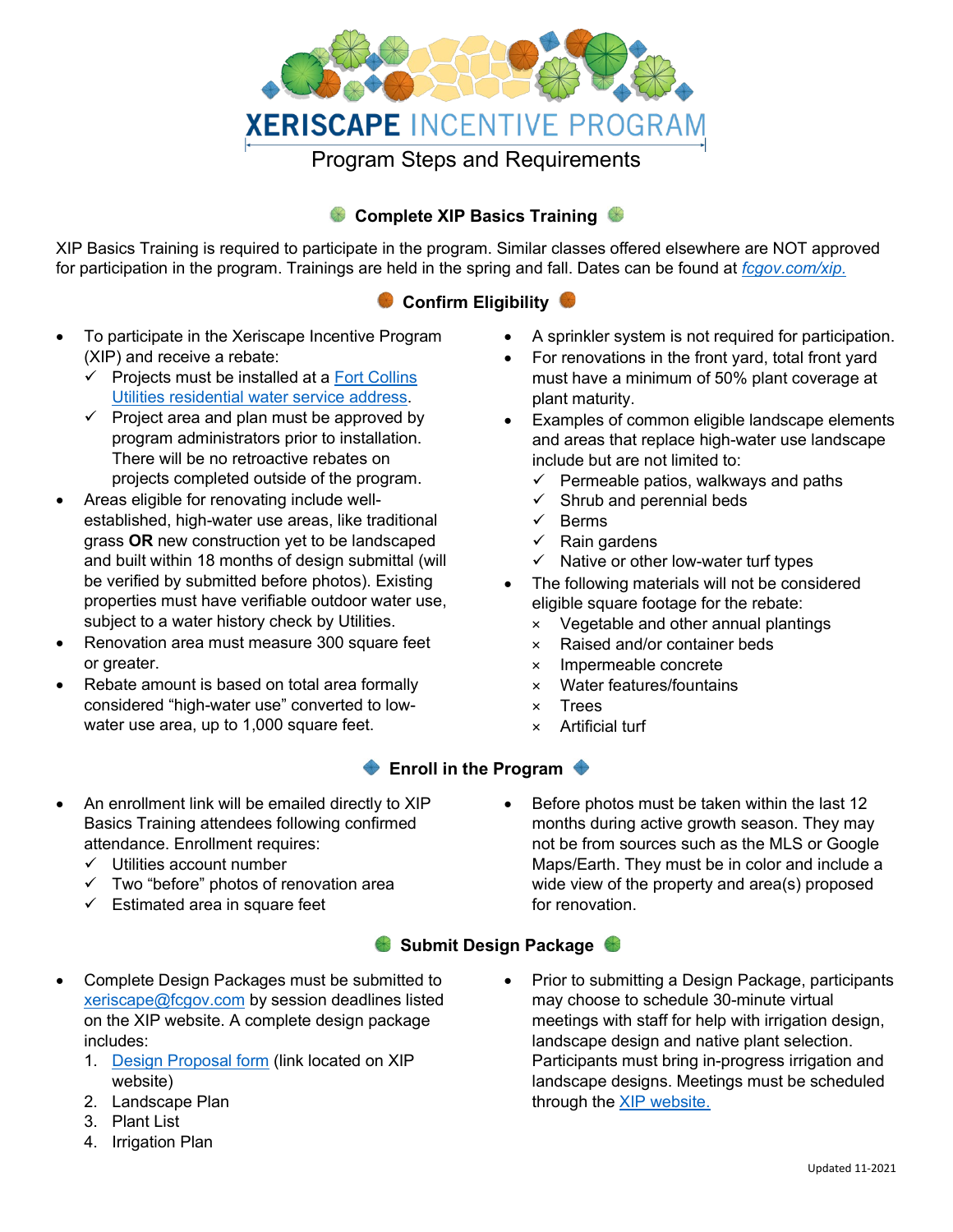

# **Complete XIP Basics Training**

XIP Basics Training is required to participate in the program. Similar classes offered elsewhere are NOT approved for participation in the program. Trainings are held in the spring and fall. Dates can be found at *[fcgov.com/xip.](http://www.fcgov.com/xip)*

# **Confirm Eligibility**

- To participate in the Xeriscape Incentive Program (XIP) and receive a rebate:
	- $\checkmark$  Projects must be installed at a [Fort Collins](https://gisweb.fcgov.com/HTML5Viewer/index.html?Viewer=Utility%20Districts) [Utilities residential water service address.](https://gisweb.fcgov.com/HTML5Viewer/index.html?Viewer=Utility%20Districts)
	- $\checkmark$  Project area and plan must be approved by program administrators prior to installation. There will be no retroactive rebates on projects completed outside of the program.
- Areas eligible for renovating include wellestablished, high-water use areas, like traditional grass **OR** new construction yet to be landscaped and built within 18 months of design submittal (will be verified by submitted before photos). Existing properties must have verifiable outdoor water use, subject to a water history check by Utilities.
- Renovation area must measure 300 square feet or greater.
- Rebate amount is based on total area formally considered "high-water use" converted to lowwater use area, up to 1,000 square feet.
- A sprinkler system is not required for participation.
- For renovations in the front yard, total front yard must have a minimum of 50% plant coverage at plant maturity.
- Examples of common eligible landscape elements and areas that replace high-water use landscape include but are not limited to:
	- $\checkmark$  Permeable patios, walkways and paths
	- $\checkmark$  Shrub and perennial beds
	- $\checkmark$  Berms
	- $\checkmark$  Rain gardens
	- $\checkmark$  Native or other low-water turf types
- The following materials will not be considered eligible square footage for the rebate:
	- × Vegetable and other annual plantings
	- × Raised and/or container beds
	- × Impermeable concrete
	- × Water features/fountains
	- × Trees
	- × Artificial turf

# **Enroll in the Program**  $\triangle$

- An enrollment link will be emailed directly to XIP Basics Training attendees following confirmed attendance. Enrollment requires:
	- $\checkmark$  Utilities account number
	- $\checkmark$  Two "before" photos of renovation area
	- $\checkmark$  Estimated area in square feet

• Before photos must be taken within the last 12 months during active growth season. They may not be from sources such as the MLS or Google Maps/Earth. They must be in color and include a wide view of the property and area(s) proposed for renovation.

# **Submit Design Package**

- Complete Design Packages must be submitted to [xeriscape@fcgov.com](mailto:xeriscape@fcgov.com) by session deadlines listed on the XIP website. A complete design package includes:
	- 1. [Design Proposal form](https://form.jotform.us/70716305629154) (link located on XIP website)
	- 2. Landscape Plan
	- 3. Plant List
	- 4. Irrigation Plan

• Prior to submitting a Design Package, participants may choose to schedule 30-minute virtual meetings with staff for help with irrigation design, landscape design and native plant selection. Participants must bring in-progress irrigation and landscape designs. Meetings must be scheduled through the **XIP** website.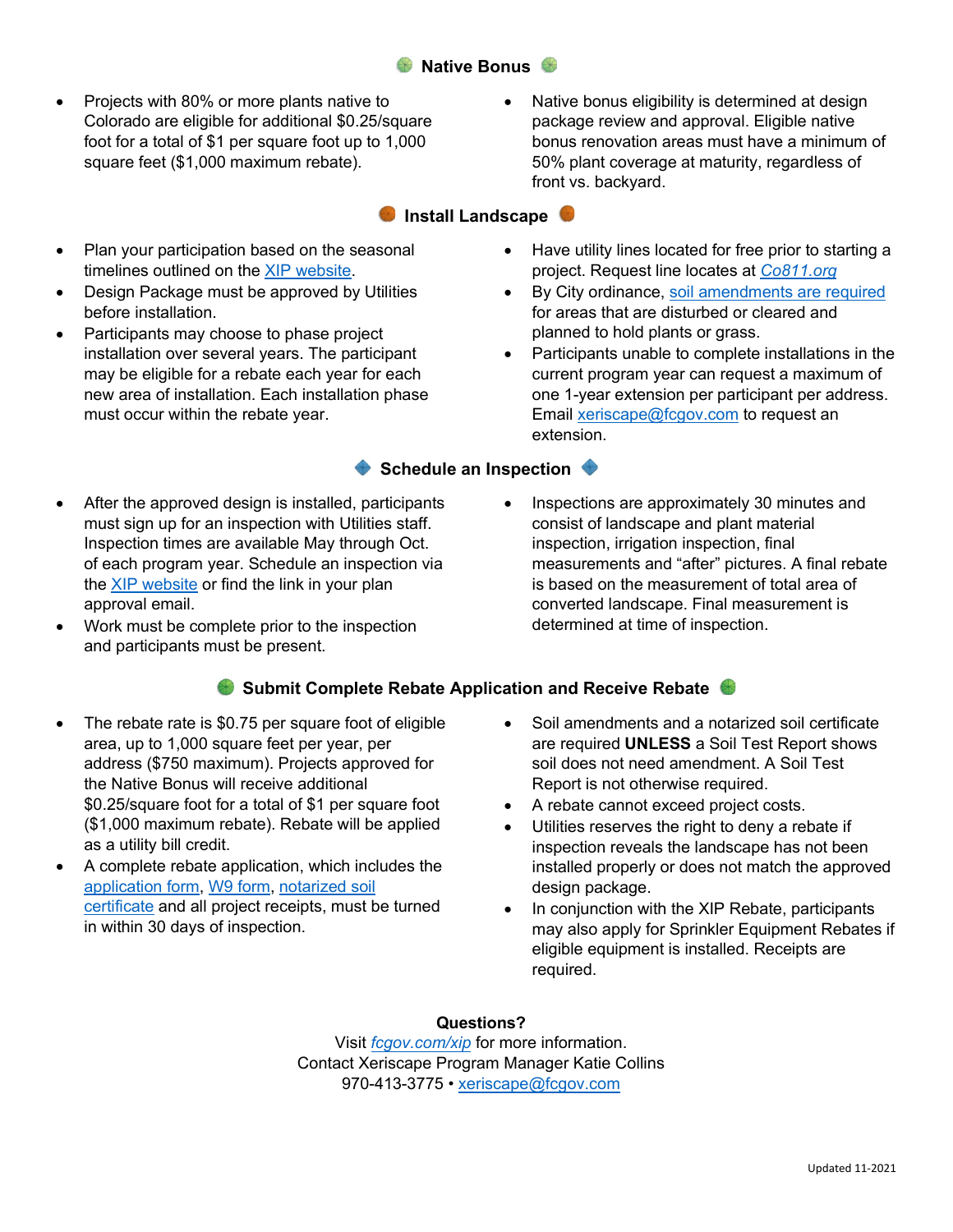## **Native Bonus**

**Install Landscape** 

- Projects with 80% or more plants native to Colorado are eligible for additional \$0.25/square foot for a total of \$1 per square foot up to 1,000 square feet (\$1,000 maximum rebate).
- Plan your participation based on the seasonal timelines outlined on the [XIP website.](https://www.fcgov.com/utilities/residential/conserve/water-efficiency/xeriscape/incentive-program/)
- Design Package must be approved by Utilities before installation.
- Participants may choose to phase project installation over several years. The participant may be eligible for a rebate each year for each new area of installation. Each installation phase must occur within the rebate year.
- After the approved design is installed, participants must sign up for an inspection with Utilities staff. Inspection times are available May through Oct. of each program year. Schedule an inspection via the [XIP website](http://www.fcgov.com/xip) or find the link in your plan approval email.
- Work must be complete prior to the inspection and participants must be present.

• Have utility lines located for free prior to starting a project. Request line locates at *[Co811.org](http://www.co811.org/)*

front vs. backyard.

• By City ordinance, [soil amendments are required](https://www.fcgov.com/utilities/business/builders-and-developers/development-forms-guidelines-regulations/soil-amendment-requirements/) for areas that are disturbed or cleared and planned to hold plants or grass.

Native bonus eligibility is determined at design package review and approval. Eligible native bonus renovation areas must have a minimum of 50% plant coverage at maturity, regardless of

• Participants unable to complete installations in the current program year can request a maximum of one 1-year extension per participant per address. Email [xeriscape@fcgov.com](mailto:xeriscape@fcgov.com) to request an extension.

## **Schedule an Inspection**  $\bullet$

• Inspections are approximately 30 minutes and consist of landscape and plant material inspection, irrigation inspection, final measurements and "after" pictures. A final rebate is based on the measurement of total area of converted landscape. Final measurement is determined at time of inspection.

## **Submit Complete Rebate Application and Receive Rebate**

- The rebate rate is \$0.75 per square foot of eligible area, up to 1,000 square feet per year, per address (\$750 maximum). Projects approved for the Native Bonus will receive additional \$0.25/square foot for a total of \$1 per square foot (\$1,000 maximum rebate). Rebate will be applied as a utility bill credit.
- A complete rebate application, which includes the [application form,](https://www.fcgov.com/utilities/img/site_specific/uploads/xip_rebate-application.pdf) [W9 form,](https://www.irs.gov/pub/irs-pdf/fw9.pdf) [notarized soil](https://www.fcgov.com/utilities/img/site_specific/uploads/XIP_Soil_Amendment_Cert.pdf?1600363165) [certificate](https://www.fcgov.com/utilities/img/site_specific/uploads/XIP_Soil_Amendment_Cert.pdf?1600363165) and all project receipts, must be turned in within 30 days of inspection.
- Soil amendments and a notarized soil certificate are required **UNLESS** a Soil Test Report shows soil does not need amendment. A Soil Test Report is not otherwise required.
- A rebate cannot exceed project costs.
- Utilities reserves the right to deny a rebate if inspection reveals the landscape has not been installed properly or does not match the approved design package.
- In conjunction with the XIP Rebate, participants may also apply for Sprinkler Equipment Rebates if eligible equipment is installed. Receipts are required.

#### **Questions?**

Visit *[fcgov.com/xip](http://www.fcgov.com/xip)* for more information. Contact Xeriscape Program Manager Katie Collins 970-413-3775 • [xeriscape@fcgov.com](mailto:xeriscape@fcgov.com)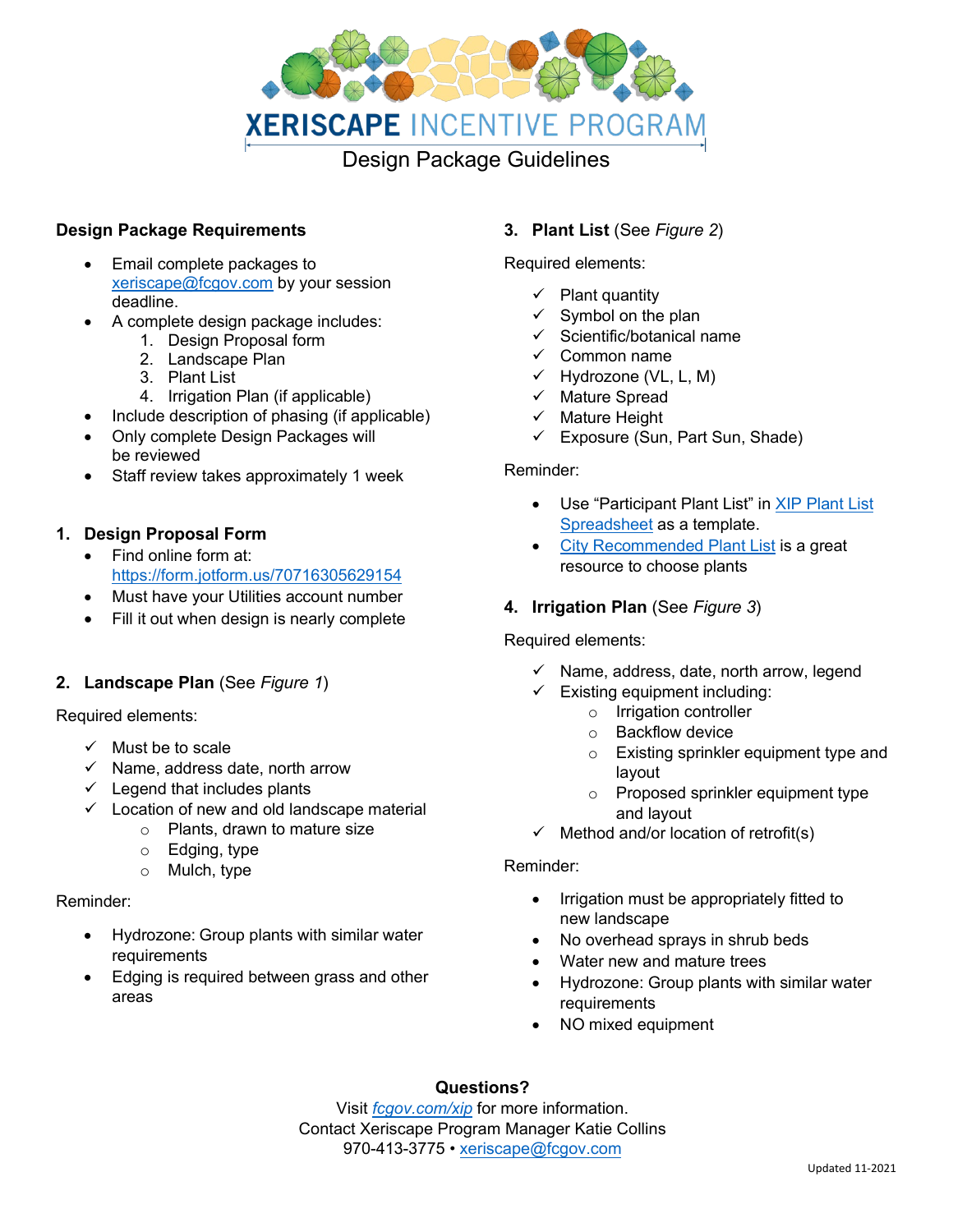

#### **Design Package Requirements**

- Email complete packages to [xeriscape@fcgov.com](mailto:xeriscape@fcgov.com) by your session deadline.
- A complete design package includes:
	- 1. Design Proposal form
	- 2. Landscape Plan
	- 3. Plant List
	- 4. Irrigation Plan (if applicable)
- Include description of phasing (if applicable)
- Only complete Design Packages will be reviewed
- Staff review takes approximately 1 week

## **1. Design Proposal Form**

- Find online form at: <https://form.jotform.us/70716305629154>
- Must have your Utilities account number
- Fill it out when design is nearly complete

## **2. Landscape Plan** (See *Figure 1*)

Required elements:

- $\checkmark$  Must be to scale
- $\checkmark$  Name, address date, north arrow
- $\checkmark$  Legend that includes plants
- $\checkmark$  Location of new and old landscape material
	- o Plants, drawn to mature size
	- o Edging, type
	- o Mulch, type

#### Reminder:

- Hydrozone: Group plants with similar water requirements
- Edging is required between grass and other areas

## **3. Plant List** (See *Figure 2*)

Required elements:

- $\checkmark$  Plant quantity
- $\checkmark$  Symbol on the plan
- $\checkmark$  Scientific/botanical name
- $\checkmark$  Common name
- $\checkmark$  Hydrozone (VL, L, M)
- $\checkmark$  Mature Spread
- $\checkmark$  Mature Height
- $\checkmark$  Exposure (Sun, Part Sun, Shade)

#### Reminder:

- Use "Participant Plant List" in [XIP Plant List](https://www.fcgov.com/utilities/img/site_specific/uploads/XIP_Plant_List.xlsx?1624483412) [Spreadsheet](https://www.fcgov.com/utilities/img/site_specific/uploads/XIP_Plant_List.xlsx?1624483412) as a template.
- [City Recommended Plant List](https://www.fcgov.com/vegetation/) is a great resource to choose plants

## **4. Irrigation Plan** (See *Figure 3*)

#### Required elements:

- $\checkmark$  Name, address, date, north arrow, legend
- $\checkmark$  Existing equipment including:
	- o Irrigation controller
	- o Backflow device
	- o Existing sprinkler equipment type and layout
	- o Proposed sprinkler equipment type and layout
- $\checkmark$  Method and/or location of retrofit(s)

#### Reminder:

- Irrigation must be appropriately fitted to new landscape
- No overhead sprays in shrub beds
- Water new and mature trees
- Hydrozone: Group plants with similar water requirements
- NO mixed equipment

# **Questions?**

Visit *[fcgov.com/xip](http://www.fcgov.com/xip)* for more information. Contact Xeriscape Program Manager Katie Collins 970-413-3775 • [xeriscape@fcgov.com](mailto:xeriscape@fcgov.com)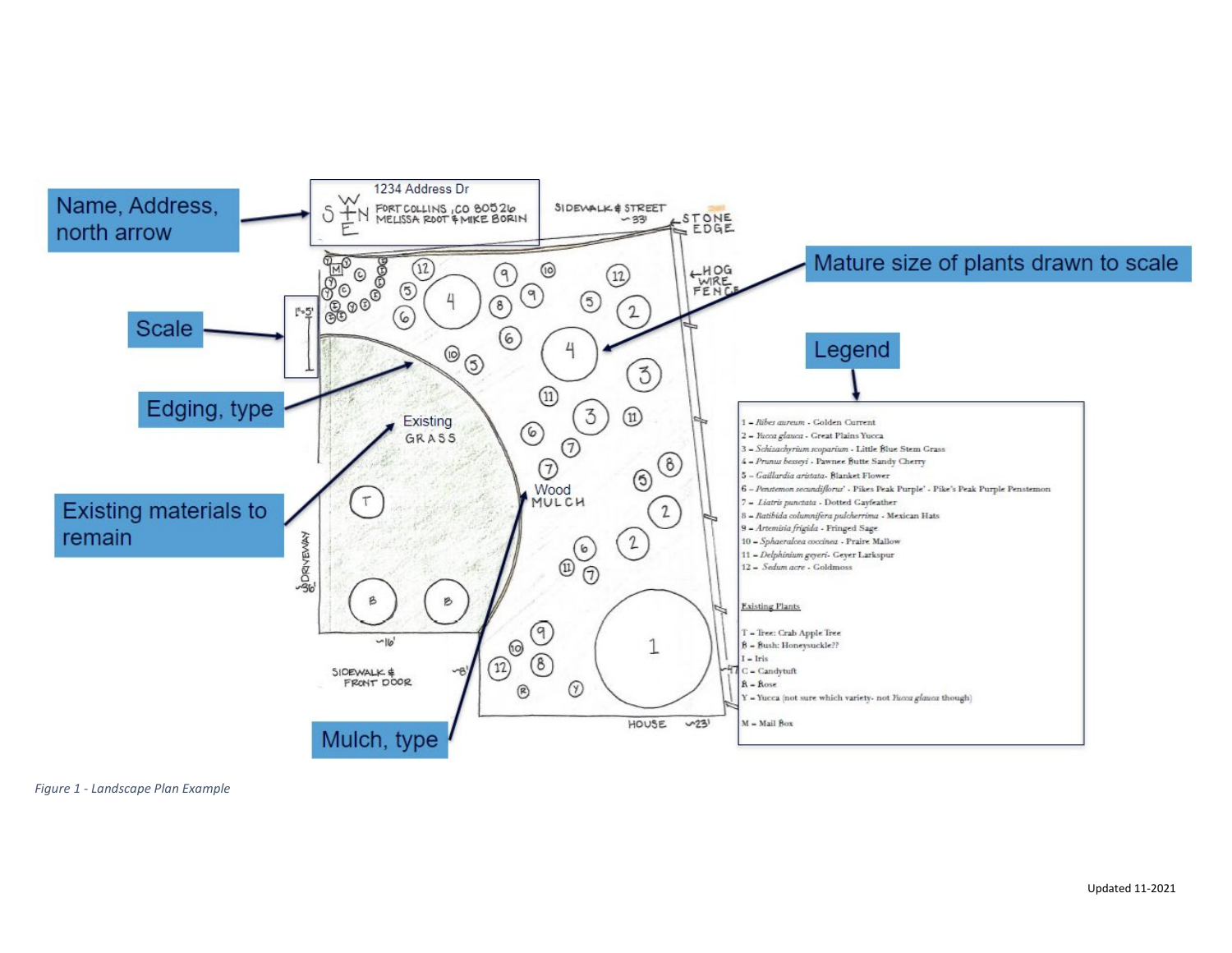

*Figure 1 - Landscape Plan Example*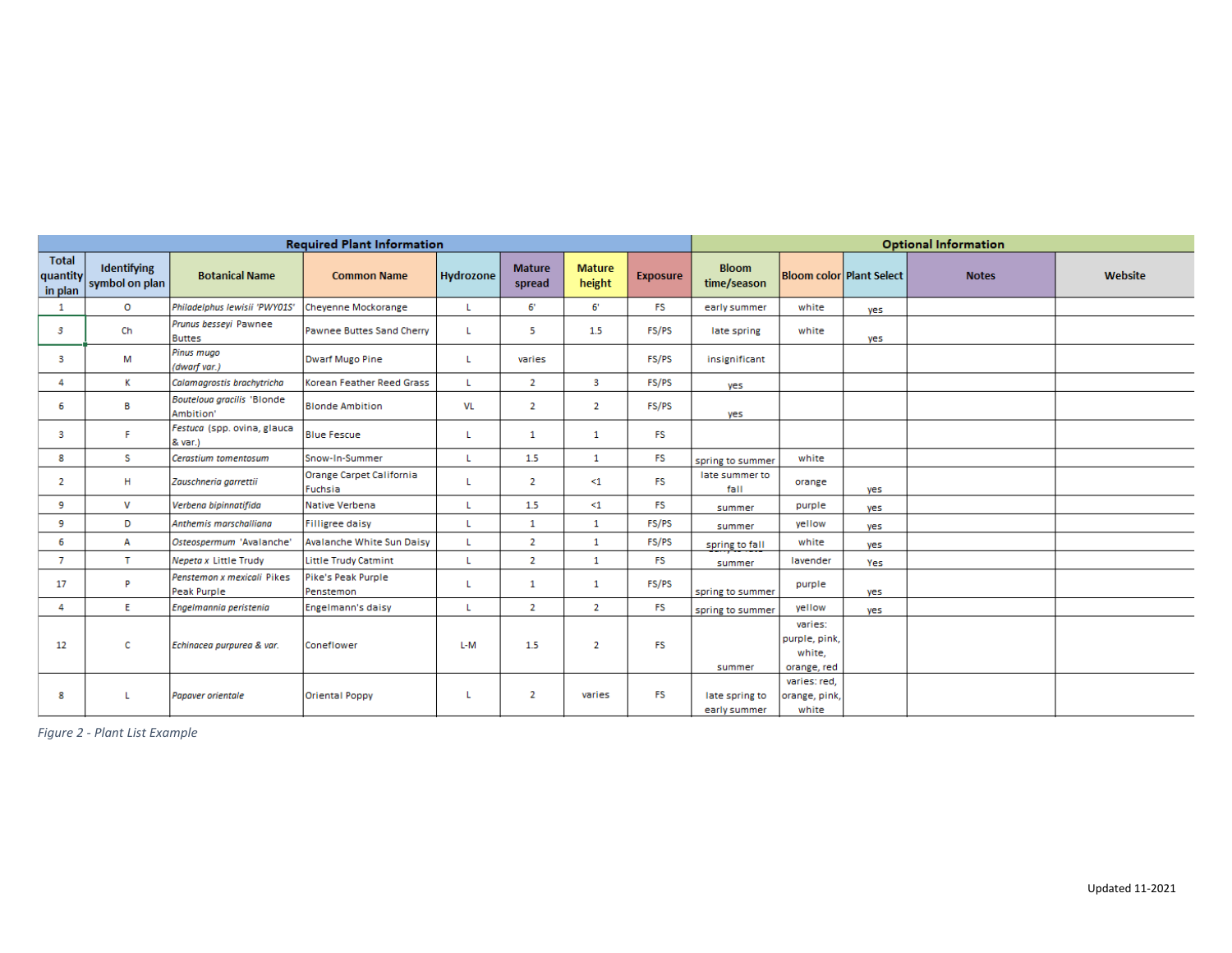| <b>Required Plant Information</b>   |                                      |                                           |                                     |                  |                         |                         |                 | <b>Optional Information</b>    |                                                   |                          |              |         |
|-------------------------------------|--------------------------------------|-------------------------------------------|-------------------------------------|------------------|-------------------------|-------------------------|-----------------|--------------------------------|---------------------------------------------------|--------------------------|--------------|---------|
| <b>Total</b><br>quantity<br>in plan | <b>Identifying</b><br>symbol on plan | <b>Botanical Name</b>                     | <b>Common Name</b>                  | <b>Hydrozone</b> | <b>Mature</b><br>spread | <b>Mature</b><br>height | <b>Exposure</b> | <b>Bloom</b><br>time/season    |                                                   | Bloom color Plant Select | <b>Notes</b> | Website |
| 1                                   | $\circ$                              | Philadelphus lewisii 'PWY01S'             | Chevenne Mockorange                 | L.               | 6'                      | 6'                      | FS.             | early summer                   | white                                             | yes                      |              |         |
| 3                                   | Ch                                   | Prunus besseyi Pawnee<br><b>Buttes</b>    | Pawnee Buttes Sand Cherry           | L.               | 5                       | 1.5                     | FS/PS           | late spring                    | white                                             | yes                      |              |         |
| 3                                   | м                                    | Pinus muao<br>(dwarf var.)                | Dwarf Mugo Pine                     | L.               | varies                  |                         | FS/PS           | insignificant                  |                                                   |                          |              |         |
| 4                                   | к                                    | Calamagrostis brachytricha                | Korean Feather Reed Grass           | L.               | $\overline{2}$          | 3                       | FS/PS           | yes                            |                                                   |                          |              |         |
| 6                                   | в                                    | Bouteloua gracilis 'Blonde<br>Ambition'   | <b>Blonde Ambition</b>              | VL               | $\overline{2}$          | $\overline{2}$          | FS/PS           | yes                            |                                                   |                          |              |         |
| 3                                   | Е                                    | Festuca (spp. ovina, glauca<br>$8$ var.)  | <b>Blue Fescue</b>                  | L.               | $\mathbf{1}$            | 1                       | FS.             |                                |                                                   |                          |              |         |
| 8                                   | S.                                   | Cerastium tomentosum                      | Snow-In-Summer                      | L.               | 1.5                     | $\mathbf{1}$            | FS.             | spring to summer               | white                                             |                          |              |         |
| 2                                   | н                                    | Zauschneria garrettii                     | Orange Carpet California<br>Fuchsia |                  | $\overline{2}$          | $\leq$ 1                | <b>FS</b>       | late summer to<br>fall         | orange                                            | yes                      |              |         |
| 9                                   | v                                    | Verbena bipinnatifida                     | Native Verbena                      | L                | 1.5                     | $\leq$ 1                | FS.             | summer                         | purple                                            | yes                      |              |         |
| 9                                   | D                                    | Anthemis marschalliana                    | <b>Filligree daisy</b>              | L                | $\mathbf{1}$            | $\mathbf{1}$            | FS/PS           | summer                         | vellow                                            | yes                      |              |         |
| 6                                   | А                                    | Osteospermum 'Avalanche'                  | Avalanche White Sun Daisy           | L.               | $\overline{2}$          | $\mathbf{1}$            | FS/PS           | spring to fall                 | white                                             | yes                      |              |         |
| 7                                   | T.                                   | Nepeta x Little Trudy                     | Little Trudy Catmint                | L.               | $\overline{2}$          | $\mathbf{1}$            | <b>FS</b>       | summer                         | lavender                                          | Yes                      |              |         |
| 17                                  | D                                    | Penstemon x mexicali Pikes<br>Peak Purple | Pike's Peak Purple<br>Penstemon     |                  | $\mathbf{1}$            | 1                       | FS/PS           | spring to summer               | purple                                            | yes                      |              |         |
| 4                                   | E.                                   | Engelmannia peristenia                    | Engelmann's daisy                   | L.               | $\overline{2}$          | $\overline{2}$          | FS.             | spring to summer               | yellow                                            | yes                      |              |         |
| 12                                  | c                                    | Echinacea purpurea & var.                 | Coneflower                          | L-M              | 1.5                     | $\overline{2}$          | FS.             | summer                         | varies:<br>purple, pink,<br>white,<br>orange, red |                          |              |         |
| 8                                   |                                      | <b>Papaver orientale</b>                  | <b>Oriental Poppy</b>               | L                | $\overline{2}$          | varies                  | FS.             | late spring to<br>early summer | varies: red,<br>orange, pink,<br>white            |                          |              |         |

*Figure 2 - Plant List Example*